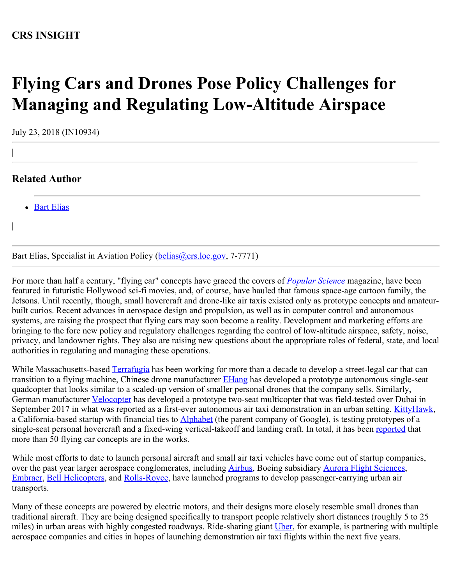# **CRS INSIGHT**

# **Flying Cars and Drones Pose Policy Challenges for Managing and Regulating Low-Altitude Airspace**

July 23, 2018 (IN10934)

## **Related Author**

|

|

• [Bart Elias](http://www.crs.gov/Author/index?id=72518)

Bart Elias, Specialist in Aviation Policy [\(belias@crs.loc.gov,](mailto:belias@crs.loc.gov) 7-7771)

For more than half a century, "flying car" concepts have graced the covers of *[Popular Science](https://www.popsci.com/tags/flying-cars)* magazine, have been featured in futuristic Hollywood sci-fi movies, and, of course, have hauled that famous space-age cartoon family, the Jetsons. Until recently, though, small hovercraft and drone-like air taxis existed only as prototype concepts and amateurbuilt curios. Recent advances in aerospace design and propulsion, as well as in computer control and autonomous systems, are raising the prospect that flying cars may soon become a reality. Development and marketing efforts are bringing to the fore new policy and regulatory challenges regarding the control of low-altitude airspace, safety, noise, privacy, and landowner rights. They also are raising new questions about the appropriate roles of federal, state, and local authorities in regulating and managing these operations.

While Massachusetts-based [Terrafugia](http://www.terrafugia.com/about-terrafugia/) has been working for more than a decade to develop a street-legal car that can transition to a flying machine, Chinese drone manufacturer **EHang** has developed a prototype autonomous single-seat quadcopter that looks similar to a scaled-up version of smaller personal drones that the company sells. Similarly, German manufacturer [Velocopter](https://www.volocopter.com/en/) has developed a prototype two-seat multicopter that was field-tested over Dubai in September 2017 in what was reported as a first-ever autonomous air taxi demonstration in an urban setting. [KittyHawk](https://kittyhawk.aero/), a California-based startup with financial ties to [Alphabet](https://abc.xyz/investor/) (the parent company of Google), is testing prototypes of a single-seat personal hovercraft and a fixed-wing vertical-takeoff and landing craft. In total, it has been [reported](https://www.flightglobal.com/news/articles/kitty-hawk-unveils-cora-aircraft-for-evtol-air-taxi-446744/) that more than 50 flying car concepts are in the works.

While most efforts to date to launch personal aircraft and small air taxi vehicles have come out of startup companies, over the past year larger aerospace conglomerates, including [Airbus](https://www.airbus-sv.com/), Boeing subsidiary [Aurora Flight Sciences](http://www.aurora.aero/), [Embraer](https://embraer.com/global/en/embraerx), [Bell Helicopters](http://www.bellflight.com/company/innovation/air-taxi), and [Rolls-Royce](https://www.rolls-royce.com/media/our-stories/discover/2018/blue-sky-thinking-rr-unveils-evtol-concept-at-farnborough-airshow.aspx), have launched programs to develop passenger-carrying urban air transports.

Many of these concepts are powered by electric motors, and their designs more closely resemble small drones than traditional aircraft. They are being designed specifically to transport people relatively short distances (roughly 5 to 25 miles) in urban areas with highly congested roadways. Ride-sharing giant [Uber](https://www.uber.com/info/elevate/), for example, is partnering with multiple aerospace companies and cities in hopes of launching demonstration air taxi flights within the next five years.